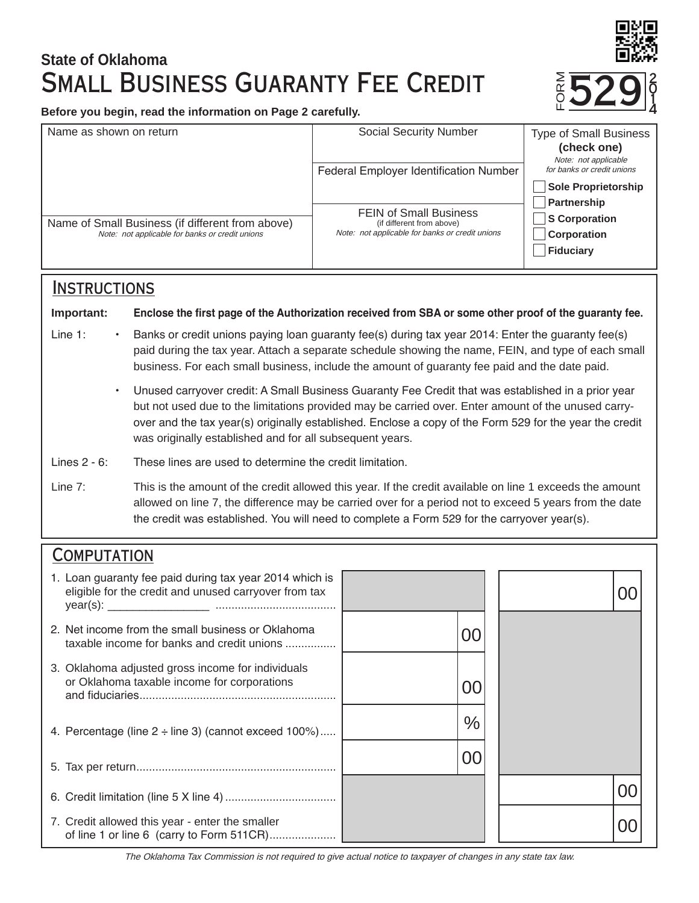# **State of Oklahoma** Small Business Guaranty Fee Credit

**Before you begin, read the information on Page 2 carefully.**

| Name as shown on return                                                                             | <b>Social Security Number</b>                                                                                 | <b>Type of Small Business</b><br>(check one)       |
|-----------------------------------------------------------------------------------------------------|---------------------------------------------------------------------------------------------------------------|----------------------------------------------------|
|                                                                                                     | <b>Federal Employer Identification Number</b>                                                                 | Note: not applicable<br>for banks or credit unions |
|                                                                                                     |                                                                                                               | <b>Sole Proprietorship</b><br>Partnership          |
| Name of Small Business (if different from above)<br>Note: not applicable for banks or credit unions | <b>FEIN of Small Business</b><br>(if different from above)<br>Note: not applicable for banks or credit unions | <b>S</b> Corporation<br>Corporation<br>Fiduciary   |

### **INSTRUCTIONS**

**Important: Enclose the first page of the Authorization received from SBA or some other proof of the guaranty fee.**

- Line 1: Banks or credit unions paying loan guaranty fee(s) during tax year 2014: Enter the guaranty fee(s) paid during the tax year. Attach a separate schedule showing the name, FEIN, and type of each small business. For each small business, include the amount of guaranty fee paid and the date paid.
	- Unused carryover credit: A Small Business Guaranty Fee Credit that was established in a prior year but not used due to the limitations provided may be carried over. Enter amount of the unused carryover and the tax year(s) originally established. Enclose a copy of the Form 529 for the year the credit was originally established and for all subsequent years.
- Lines 2 6: These lines are used to determine the credit limitation.
- Line 7: This is the amount of the credit allowed this year. If the credit available on line 1 exceeds the amount allowed on line 7, the difference may be carried over for a period not to exceed 5 years from the date the credit was established. You will need to complete a Form 529 for the carryover year(s).

## **COMPUTATION**

| 1. Loan guaranty fee paid during tax year 2014 which is<br>eligible for the credit and unused carryover from tax |               |  |
|------------------------------------------------------------------------------------------------------------------|---------------|--|
| 2. Net income from the small business or Oklahoma<br>taxable income for banks and credit unions                  | OC            |  |
| 3. Oklahoma adjusted gross income for individuals<br>or Oklahoma taxable income for corporations                 | იი            |  |
| 4. Percentage (line $2 \div$ line 3) (cannot exceed 100%)                                                        | $\frac{0}{0}$ |  |
|                                                                                                                  | 00            |  |
|                                                                                                                  |               |  |
| 7. Credit allowed this year - enter the smaller<br>of line 1 or line 6 (carry to Form 511CR)                     |               |  |